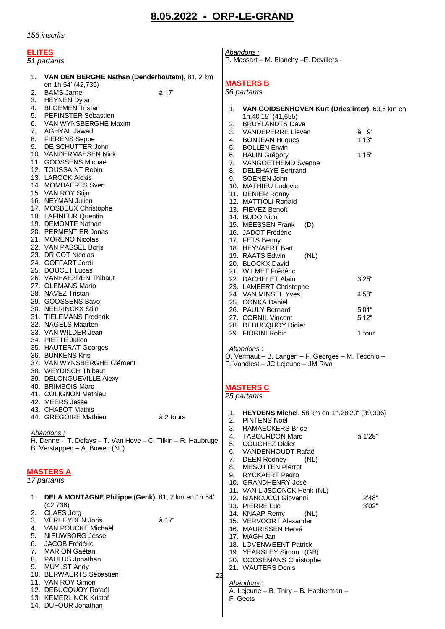## **8.05.2022 - ORP-LE-GRAND**

*156 inscrits*

| <b>ELITES</b><br>51 partants                                                                  | Abandons:<br>P. Massart - M. Blanchy - E. Devillers -                |         |
|-----------------------------------------------------------------------------------------------|----------------------------------------------------------------------|---------|
| VAN DEN BERGHE Nathan (Denderhoutem), 81, 2 km<br>1.                                          | <b>MASTERS B</b>                                                     |         |
| en 1h.54' (42,736)<br><b>BAMS Jarne</b><br>à 17"<br>2.                                        | 36 partants                                                          |         |
| 3. HEYNEN Dylan                                                                               |                                                                      |         |
| BLOEMEN Tristan<br>4.                                                                         | 1. VAN GOIDSENHOVEN Kurt (Drieslinter), 69,6 km en                   |         |
| 5.<br>PEPINSTER Sébastien                                                                     | 1h.40'15" (41,655)                                                   |         |
| 6.<br>VAN WYNSBERGHE Maxim                                                                    | 2. BRUYLANDTS Dave                                                   |         |
| 7. AGHYAL Jawad                                                                               | 3. VANDEPERRE Lieven                                                 | à 9"    |
| 8.<br><b>FIERENS Seppe</b>                                                                    | 4. BONJEAN Hugues                                                    | 1'13"   |
| 9.<br>DE SCHUTTER John<br>10. VANDERMAESEN Nick                                               | 5. BOLLEN Erwin                                                      |         |
| 11. GOOSSENS Michaël                                                                          | 6. HALIN Grégory<br>7. VANGOETHEMD Svenne                            | 1'15"   |
| 12. TOUSSAINT Robin                                                                           | 8. DELEHAYE Bertrand                                                 |         |
| 13. LAROCK Alexis                                                                             | 9. SOENEN John                                                       |         |
| 14. MOMBAERTS Sven                                                                            | 10. MATHIEU Ludovic                                                  |         |
| 15. VAN ROY Stijn                                                                             | 11. DENIER Ronny                                                     |         |
| 16. NEYMAN Julien                                                                             | 12. MATTIOLI Ronald                                                  |         |
| 17. MOSBEUX Christophe<br>18. LAFINEUR Quentin                                                | 13. FIEVEZ Benoît                                                    |         |
| 19. DEMONTE Nathan                                                                            | 14. BUDO Nico<br>15. MEESSEN Frank<br>(D)                            |         |
| 20. PERMENTIER Jonas                                                                          | 16. JADOT Frédéric                                                   |         |
| 21. MORENO Nicolas                                                                            | 17. FETS Benny                                                       |         |
| 22. VAN PASSEL Boris                                                                          | 18. HEYVAERT Bart                                                    |         |
| 23. DRICOT Nicolas                                                                            | (NL)<br>19. RAATS Edwin                                              |         |
| 24. GOFFART Jordi                                                                             | 20. BLOCKX David                                                     |         |
| 25. DOUCET Lucas                                                                              | 21. WILMET Frédéric                                                  |         |
| 26. VANHAEZREN Thibaut<br>27. OLEMANS Mario                                                   | 22. DACHELET Alain                                                   | 3'25''  |
| 28. NAVEZ Tristan                                                                             | 23. LAMBERT Christophe<br>24. VAN MINSEL Yves                        | 4'53"   |
| 29. GOOSSENS Bavo                                                                             | 25. CONKA Daniel                                                     |         |
| 30. NEERINCKX Stijn                                                                           | 26. PAULY Bernard                                                    | 5'01''  |
| 31. TIELEMANS Frederik                                                                        | 27. CORNIL Vincent                                                   | 5'12''  |
| 32. NAGELS Maarten                                                                            | 28. DEBUCQUOY Didier                                                 |         |
| 33. VAN WILDER Jean<br>34. PIETTE Julien                                                      | 29. FIORINI Robin                                                    | 1 tour  |
| 35. HAUTERAT Georges                                                                          | Abandons:                                                            |         |
| 36. BUNKENS Kris                                                                              | O. Vermaut - B. Langen - F. Georges - M. Tecchio -                   |         |
| 37. VAN WYNSBERGHE Clément                                                                    | F. Vandiest - JC Lejeune - JM Riva                                   |         |
| 38. WEYDISCH Thibaut                                                                          |                                                                      |         |
| 39. DELONGUEVILLE Alexy                                                                       |                                                                      |         |
| 40. BRIMBOIS Marc                                                                             | <b>MASTERS C</b>                                                     |         |
| 41. COLIGNON Mathieu<br>42. MEERS Jesse                                                       | 25 partants                                                          |         |
| 43. CHABOT Mathis                                                                             |                                                                      |         |
| 44. GREGOIRE Mathieu<br>à 2 tours                                                             | 1. HEYDENS Michel, 58 km en 1h.28'20" (39,396)<br>2.<br>PINTENS Noël |         |
|                                                                                               | 3. RAMAECKERS Brice                                                  |         |
| Abandons:                                                                                     | 4. TABOURDON Marc                                                    | à 1'28" |
| H. Denne - T. Defays - T. Van Hove - C. Tilkin - R. Haubruge<br>B. Verstappen - A. Bowen (NL) | <b>COUCHEZ Didier</b><br>5.                                          |         |
|                                                                                               | VANDENHOUDT Rafaël<br>6.                                             |         |
|                                                                                               | 7. DEEN Rodney<br>(NL)                                               |         |
| <b>MASTERS A</b>                                                                              | <b>MESOTTEN Pierrot</b><br>8.<br><b>RYCKAERT Pedro</b><br>9.         |         |
| 17 partants                                                                                   | 10. GRANDHENRY José                                                  |         |
|                                                                                               | 11. VAN LIJSDONCK Henk (NL)                                          |         |
| DELA MONTAGNE Philippe (Genk), 81, 2 km en 1h.54'<br>1.                                       | 12. BIANCUCCI Giovanni                                               | 2'48"   |
| (42, 736)                                                                                     | 13. PIERRE Luc                                                       | 3'02"   |
| 2. CLAES Jorg                                                                                 | 14. KNAAP Remy<br>(NL)                                               |         |
| à 17"<br>3.<br><b>VERHEYDEN Joris</b><br>VAN POUCKE Michaël<br>4.                             | 15. VERVOORT Alexander<br>16. MAURISSEN Hervé                        |         |
| NIEUWBORG Jesse<br>5.                                                                         | 17. MAGH Jan                                                         |         |
| 6.<br>JACOB Frédéric                                                                          | 18. LOVENWEENT Patrick                                               |         |
| 7.<br><b>MARION Gaëtan</b>                                                                    | 19. YEARSLEY Simon (GB)                                              |         |
| PAULUS Jonathan<br>8.                                                                         | 20. COOSEMANS Christophe                                             |         |
| 9.<br>MUYLST Andy<br>10. BERWAERTS Sébastien                                                  | 21. WAUTERS Denis                                                    |         |
| 22<br>11. VAN ROY Simon                                                                       |                                                                      |         |
| 12. DEBUCQUOY Rafaël                                                                          | <u>Abandons</u> :<br>A. Lejeune - B. Thiry - B. Haelterman -         |         |
| 13. KEMERLINCK Kristof                                                                        | F. Geets                                                             |         |
| 14. DUFOUR Jonathan                                                                           |                                                                      |         |
|                                                                                               |                                                                      |         |